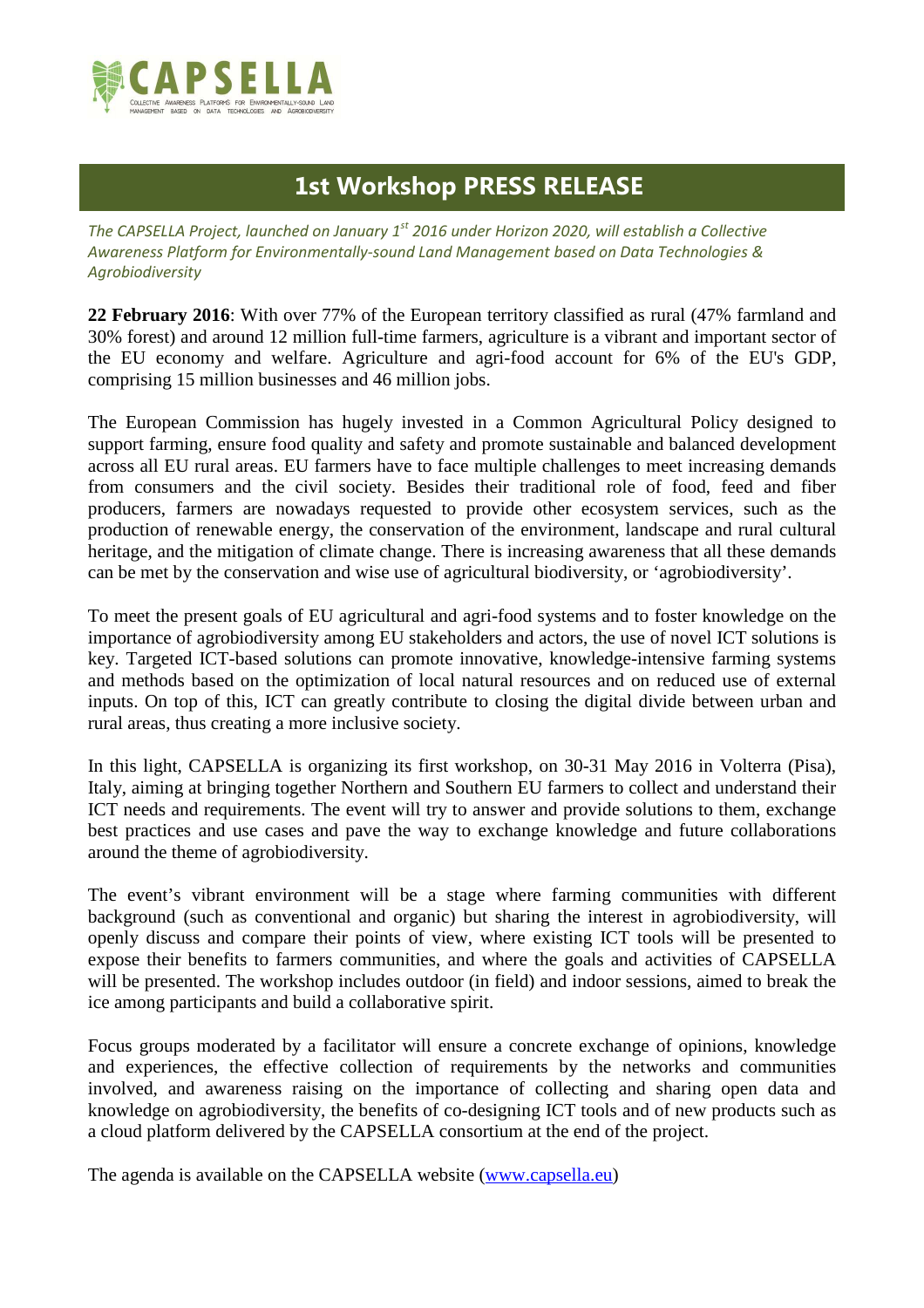

## **1st Workshop PRESS RELEASE**

*The CAPSELLA Project, launched on January 1st 2016 under Horizon 2020, will establish a Collective Awareness Platform for Environmentally-sound Land Management based on Data Technologies & Agrobiodiversity* 

**22 February 2016**: With over 77% of the European territory classified as rural (47% farmland and 30% forest) and around 12 million full-time farmers, agriculture is a vibrant and important sector of the EU economy and welfare. Agriculture and agri-food account for 6% of the EU's GDP, comprising 15 million businesses and 46 million jobs.

The European Commission has hugely invested in a Common Agricultural Policy designed to support farming, ensure food quality and safety and promote sustainable and balanced development across all EU rural areas. EU farmers have to face multiple challenges to meet increasing demands from consumers and the civil society. Besides their traditional role of food, feed and fiber producers, farmers are nowadays requested to provide other ecosystem services, such as the production of renewable energy, the conservation of the environment, landscape and rural cultural heritage, and the mitigation of climate change. There is increasing awareness that all these demands can be met by the conservation and wise use of agricultural biodiversity, or 'agrobiodiversity'.

To meet the present goals of EU agricultural and agri-food systems and to foster knowledge on the importance of agrobiodiversity among EU stakeholders and actors, the use of novel ICT solutions is key. Targeted ICT-based solutions can promote innovative, knowledge-intensive farming systems and methods based on the optimization of local natural resources and on reduced use of external inputs. On top of this, ICT can greatly contribute to closing the digital divide between urban and rural areas, thus creating a more inclusive society.

In this light, CAPSELLA is organizing its first workshop, on 30-31 May 2016 in Volterra (Pisa), Italy, aiming at bringing together Northern and Southern EU farmers to collect and understand their ICT needs and requirements. The event will try to answer and provide solutions to them, exchange best practices and use cases and pave the way to exchange knowledge and future collaborations around the theme of agrobiodiversity.

The event's vibrant environment will be a stage where farming communities with different background (such as conventional and organic) but sharing the interest in agrobiodiversity, will openly discuss and compare their points of view, where existing ICT tools will be presented to expose their benefits to farmers communities, and where the goals and activities of CAPSELLA will be presented. The workshop includes outdoor (in field) and indoor sessions, aimed to break the ice among participants and build a collaborative spirit.

Focus groups moderated by a facilitator will ensure a concrete exchange of opinions, knowledge and experiences, the effective collection of requirements by the networks and communities involved, and awareness raising on the importance of collecting and sharing open data and knowledge on agrobiodiversity, the benefits of co-designing ICT tools and of new products such as a cloud platform delivered by the CAPSELLA consortium at the end of the project.

The agenda is available on the CAPSELLA website (www.capsella.eu)